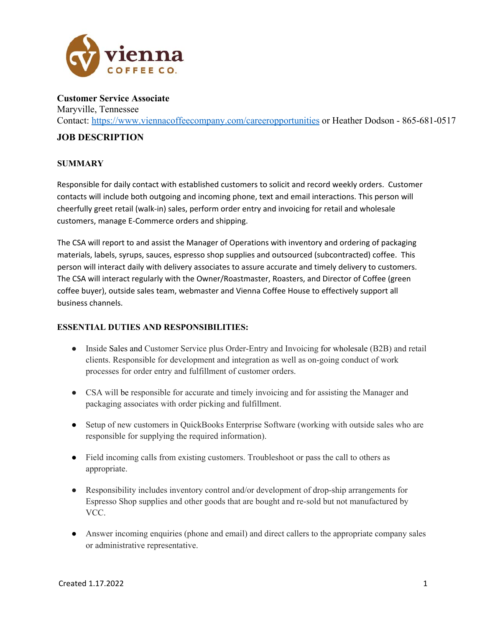

**Customer Service Associate**  Maryville, Tennessee Contact: https://www.viennacoffeecompany.com/careeropportunities or Heather Dodson - 865-681-0517

#### **JOB DESCRIPTION**

#### **SUMMARY**

Responsible for daily contact with established customers to solicit and record weekly orders. Customer contacts will include both outgoing and incoming phone, text and email interactions. This person will cheerfully greet retail (walk‐in) sales, perform order entry and invoicing for retail and wholesale customers, manage E‐Commerce orders and shipping.

The CSA will report to and assist the Manager of Operations with inventory and ordering of packaging materials, labels, syrups, sauces, espresso shop supplies and outsourced (subcontracted) coffee. This person will interact daily with delivery associates to assure accurate and timely delivery to customers. The CSA will interact regularly with the Owner/Roastmaster, Roasters, and Director of Coffee (green coffee buyer), outside sales team, webmaster and Vienna Coffee House to effectively support all business channels.

#### **ESSENTIAL DUTIES AND RESPONSIBILITIES:**

- Inside Sales and Customer Service plus Order-Entry and Invoicing for wholesale (B2B) and retail clients. Responsible for development and integration as well as on-going conduct of work processes for order entry and fulfillment of customer orders.
- CSA will be responsible for accurate and timely invoicing and for assisting the Manager and packaging associates with order picking and fulfillment.
- Setup of new customers in QuickBooks Enterprise Software (working with outside sales who are responsible for supplying the required information).
- Field incoming calls from existing customers. Troubleshoot or pass the call to others as appropriate.
- Responsibility includes inventory control and/or development of drop-ship arrangements for Espresso Shop supplies and other goods that are bought and re-sold but not manufactured by VCC.
- Answer incoming enquiries (phone and email) and direct callers to the appropriate company sales or administrative representative.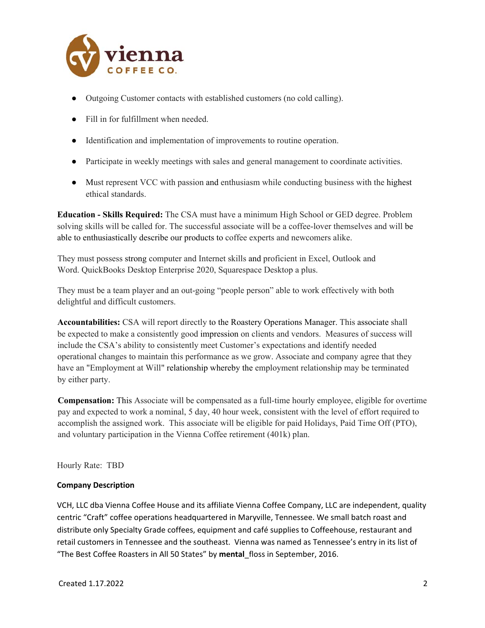

- Outgoing Customer contacts with established customers (no cold calling).
- Fill in for fulfillment when needed.
- Identification and implementation of improvements to routine operation.
- Participate in weekly meetings with sales and general management to coordinate activities.
- Must represent VCC with passion and enthusiasm while conducting business with the highest ethical standards.

**Education - Skills Required:** The CSA must have a minimum High School or GED degree. Problem solving skills will be called for. The successful associate will be a coffee-lover themselves and will be able to enthusiastically describe our products to coffee experts and newcomers alike.

They must possess strong computer and Internet skills and proficient in Excel, Outlook and Word. QuickBooks Desktop Enterprise 2020, Squarespace Desktop a plus.

They must be a team player and an out-going "people person" able to work effectively with both delightful and difficult customers.

**Accountabilities:** CSA will report directly to the Roastery Operations Manager. This associate shall be expected to make a consistently good impression on clients and vendors. Measures of success will include the CSA's ability to consistently meet Customer's expectations and identify needed operational changes to maintain this performance as we grow. Associate and company agree that they have an "Employment at Will" relationship whereby the employment relationship may be terminated by either party.

**Compensation:** This Associate will be compensated as a full-time hourly employee, eligible for overtime pay and expected to work a nominal, 5 day, 40 hour week, consistent with the level of effort required to accomplish the assigned work. This associate will be eligible for paid Holidays, Paid Time Off (PTO), and voluntary participation in the Vienna Coffee retirement (401k) plan.

Hourly Rate: TBD

#### **Company Description**

VCH, LLC dba Vienna Coffee House and its affiliate Vienna Coffee Company, LLC are independent, quality centric "Craft" coffee operations headquartered in Maryville, Tennessee. We small batch roast and distribute only Specialty Grade coffees, equipment and café supplies to Coffeehouse, restaurant and retail customers in Tennessee and the southeast. Vienna was named as Tennessee's entry in its list of "The Best Coffee Roasters in All 50 States" by **mental**\_floss in September, 2016.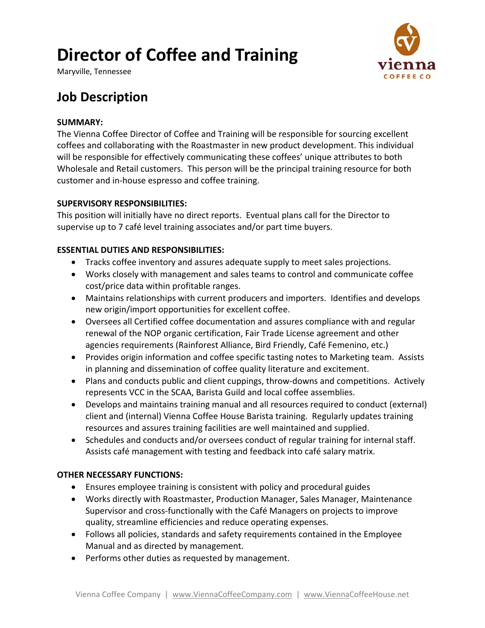# **Director of Coffee and Training**

Maryville, Tennessee



# **Job Description**

#### **SUMMARY:**

The Vienna Coffee Director of Coffee and Training will be responsible for sourcing excellent coffees and collaborating with the Roastmaster in new product development. This individual will be responsible for effectively communicating these coffees' unique attributes to both Wholesale and Retail customers. This person will be the principal training resource for both customer and in‐house espresso and coffee training.

#### **SUPERVISORY RESPONSIBILITIES:**

This position will initially have no direct reports. Eventual plans call for the Director to supervise up to 7 café level training associates and/or part time buyers.

### **ESSENTIAL DUTIES AND RESPONSIBILITIES:**

- Tracks coffee inventory and assures adequate supply to meet sales projections.
- Works closely with management and sales teams to control and communicate coffee cost/price data within profitable ranges.
- Maintains relationships with current producers and importers. Identifies and develops new origin/import opportunities for excellent coffee.
- Oversees all Certified coffee documentation and assures compliance with and regular renewal of the NOP organic certification, Fair Trade License agreement and other agencies requirements (Rainforest Alliance, Bird Friendly, Café Femenino, etc.)
- Provides origin information and coffee specific tasting notes to Marketing team. Assists in planning and dissemination of coffee quality literature and excitement.
- Plans and conducts public and client cuppings, throw-downs and competitions. Actively represents VCC in the SCAA, Barista Guild and local coffee assemblies.
- Develops and maintains training manual and all resources required to conduct (external) client and (internal) Vienna Coffee House Barista training. Regularly updates training resources and assures training facilities are well maintained and supplied.
- Schedules and conducts and/or oversees conduct of regular training for internal staff. Assists café management with testing and feedback into café salary matrix.

### **OTHER NECESSARY FUNCTIONS:**

- Ensures employee training is consistent with policy and procedural guides
- Works directly with Roastmaster, Production Manager, Sales Manager, Maintenance Supervisor and cross‐functionally with the Café Managers on projects to improve quality, streamline efficiencies and reduce operating expenses.
- Follows all policies, standards and safety requirements contained in the Employee Manual and as directed by management.
- Performs other duties as requested by management.